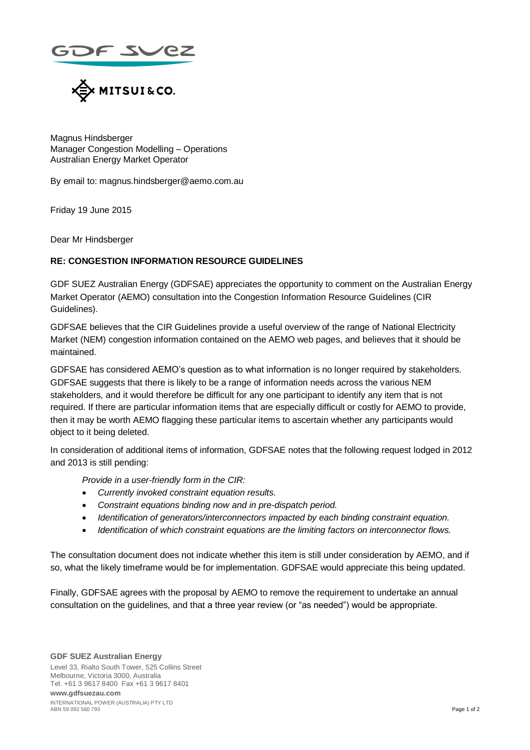



Magnus Hindsberger Manager Congestion Modelling – Operations Australian Energy Market Operator

By email to: magnus.hindsberger@aemo.com.au

Friday 19 June 2015

Dear Mr Hindsberger

## **RE: CONGESTION INFORMATION RESOURCE GUIDELINES**

GDF SUEZ Australian Energy (GDFSAE) appreciates the opportunity to comment on the Australian Energy Market Operator (AEMO) consultation into the Congestion Information Resource Guidelines (CIR Guidelines).

GDFSAE believes that the CIR Guidelines provide a useful overview of the range of National Electricity Market (NEM) congestion information contained on the AEMO web pages, and believes that it should be maintained.

GDFSAE has considered AEMO's question as to what information is no longer required by stakeholders. GDFSAE suggests that there is likely to be a range of information needs across the various NEM stakeholders, and it would therefore be difficult for any one participant to identify any item that is not required. If there are particular information items that are especially difficult or costly for AEMO to provide, then it may be worth AEMO flagging these particular items to ascertain whether any participants would object to it being deleted.

In consideration of additional items of information, GDFSAE notes that the following request lodged in 2012 and 2013 is still pending:

*Provide in a user-friendly form in the CIR:*

- *Currently invoked constraint equation results.*
- *Constraint equations binding now and in pre-dispatch period.*
- *Identification of generators/interconnectors impacted by each binding constraint equation.*
- *Identification of which constraint equations are the limiting factors on interconnector flows.*

The consultation document does not indicate whether this item is still under consideration by AEMO, and if so, what the likely timeframe would be for implementation. GDFSAE would appreciate this being updated.

Finally, GDFSAE agrees with the proposal by AEMO to remove the requirement to undertake an annual consultation on the guidelines, and that a three year review (or "as needed") would be appropriate.